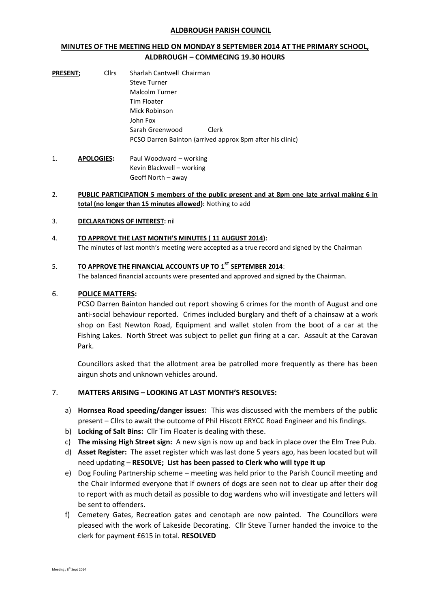#### **ALDBROUGH PARISH COUNCIL**

## **MINUTES OF THE MEETING HELD ON MONDAY 8 SEPTEMBER 2014 AT THE PRIMARY SCHOOL, ALDBROUGH – COMMECING 19.30 HOURS**

| <b>PRESENT;</b> | <b>Cllrs</b> | Sharlah Cantwell Chairman                                 |  |
|-----------------|--------------|-----------------------------------------------------------|--|
|                 |              | Steve Turner                                              |  |
|                 |              | Malcolm Turner                                            |  |
|                 |              | Tim Floater                                               |  |
|                 |              | Mick Robinson                                             |  |
|                 |              | John Fox                                                  |  |
|                 |              | Sarah Greenwood<br>Clerk                                  |  |
|                 |              | PCSO Darren Bainton (arrived approx 8pm after his clinic) |  |
|                 |              |                                                           |  |

1. **APOLOGIES:** Paul Woodward – working Kevin Blackwell – working Geoff North – away

### 2. **PUBLIC PARTICIPATION 5 members of the public present and at 8pm one late arrival making 6 in total (no longer than 15 minutes allowed):** Nothing to add

### 3. **DECLARATIONS OF INTEREST:** nil

### 4. **TO APPROVE THE LAST MONTH'S MINUTES ( 11 AUGUST 2014):** The minutes of last month's meeting were accepted as a true record and signed by the Chairman

### 5. **TO APPROVE THE FINANCIAL ACCOUNTS UP TO 1 ST SEPTEMBER 2014**:

The balanced financial accounts were presented and approved and signed by the Chairman.

### 6. **POLICE MATTERS:**

PCSO Darren Bainton handed out report showing 6 crimes for the month of August and one anti-social behaviour reported. Crimes included burglary and theft of a chainsaw at a work shop on East Newton Road, Equipment and wallet stolen from the boot of a car at the Fishing Lakes. North Street was subject to pellet gun firing at a car. Assault at the Caravan Park.

Councillors asked that the allotment area be patrolled more frequently as there has been airgun shots and unknown vehicles around.

# 7. **MATTERS ARISING – LOOKING AT LAST MONTH'S RESOLVES:**

- a) **Hornsea Road speeding/danger issues:** This was discussed with the members of the public present – Cllrs to await the outcome of Phil Hiscott ERYCC Road Engineer and his findings.
- b) **Locking of Salt Bins:** Cllr Tim Floater is dealing with these.
- c) **The missing High Street sign:** A new sign is now up and back in place over the Elm Tree Pub.
- d) **Asset Register:** The asset register which was last done 5 years ago, has been located but will need updating – **RESOLVE; List has been passed to Clerk who will type it up**
- e) Dog Fouling Partnership scheme meeting was held prior to the Parish Council meeting and the Chair informed everyone that if owners of dogs are seen not to clear up after their dog to report with as much detail as possible to dog wardens who will investigate and letters will be sent to offenders.
- f) Cemetery Gates, Recreation gates and cenotaph are now painted. The Councillors were pleased with the work of Lakeside Decorating. Cllr Steve Turner handed the invoice to the clerk for payment £615 in total. **RESOLVED**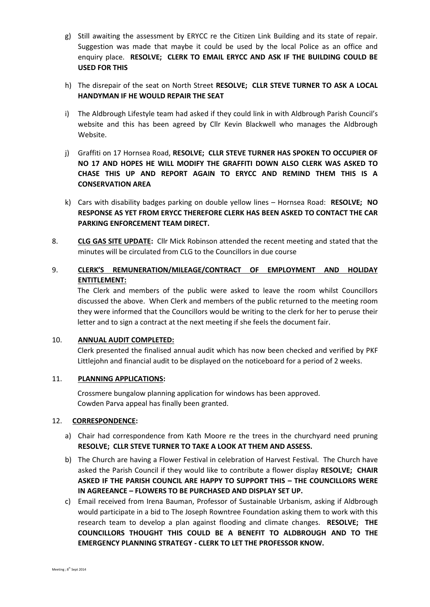- g) Still awaiting the assessment by ERYCC re the Citizen Link Building and its state of repair. Suggestion was made that maybe it could be used by the local Police as an office and enquiry place. **RESOLVE; CLERK TO EMAIL ERYCC AND ASK IF THE BUILDING COULD BE USED FOR THIS**
- h) The disrepair of the seat on North Street **RESOLVE; CLLR STEVE TURNER TO ASK A LOCAL HANDYMAN IF HE WOULD REPAIR THE SEAT**
- i) The Aldbrough Lifestyle team had asked if they could link in with Aldbrough Parish Council's website and this has been agreed by Cllr Kevin Blackwell who manages the Aldbrough Website.
- j) Graffiti on 17 Hornsea Road, **RESOLVE; CLLR STEVE TURNER HAS SPOKEN TO OCCUPIER OF NO 17 AND HOPES HE WILL MODIFY THE GRAFFITI DOWN ALSO CLERK WAS ASKED TO CHASE THIS UP AND REPORT AGAIN TO ERYCC AND REMIND THEM THIS IS A CONSERVATION AREA**
- k) Cars with disability badges parking on double yellow lines Hornsea Road: **RESOLVE; NO RESPONSE AS YET FROM ERYCC THEREFORE CLERK HAS BEEN ASKED TO CONTACT THE CAR PARKING ENFORCEMENT TEAM DIRECT.**
- 8. **CLG GAS SITE UPDATE:** Cllr Mick Robinson attended the recent meeting and stated that the minutes will be circulated from CLG to the Councillors in due course
- 9. **CLERK'S REMUNERATION/MILEAGE/CONTRACT OF EMPLOYMENT AND HOLIDAY ENTITLEMENT:**

The Clerk and members of the public were asked to leave the room whilst Councillors discussed the above. When Clerk and members of the public returned to the meeting room they were informed that the Councillors would be writing to the clerk for her to peruse their letter and to sign a contract at the next meeting if she feels the document fair.

### 10. **ANNUAL AUDIT COMPLETED:**

Clerk presented the finalised annual audit which has now been checked and verified by PKF Littlejohn and financial audit to be displayed on the noticeboard for a period of 2 weeks.

### 11. **PLANNING APPLICATIONS:**

Crossmere bungalow planning application for windows has been approved. Cowden Parva appeal has finally been granted.

### 12. **CORRESPONDENCE:**

- a) Chair had correspondence from Kath Moore re the trees in the churchyard need pruning **RESOLVE; CLLR STEVE TURNER TO TAKE A LOOK AT THEM AND ASSESS.**
- b) The Church are having a Flower Festival in celebration of Harvest Festival. The Church have asked the Parish Council if they would like to contribute a flower display **RESOLVE; CHAIR ASKED IF THE PARISH COUNCIL ARE HAPPY TO SUPPORT THIS – THE COUNCILLORS WERE IN AGREEANCE – FLOWERS TO BE PURCHASED AND DISPLAY SET UP.**
- c) Email received from Irena Bauman, Professor of Sustainable Urbanism, asking if Aldbrough would participate in a bid to The Joseph Rowntree Foundation asking them to work with this research team to develop a plan against flooding and climate changes. **RESOLVE; THE COUNCILLORS THOUGHT THIS COULD BE A BENEFIT TO ALDBROUGH AND TO THE EMERGENCY PLANNING STRATEGY - CLERK TO LET THE PROFESSOR KNOW.**